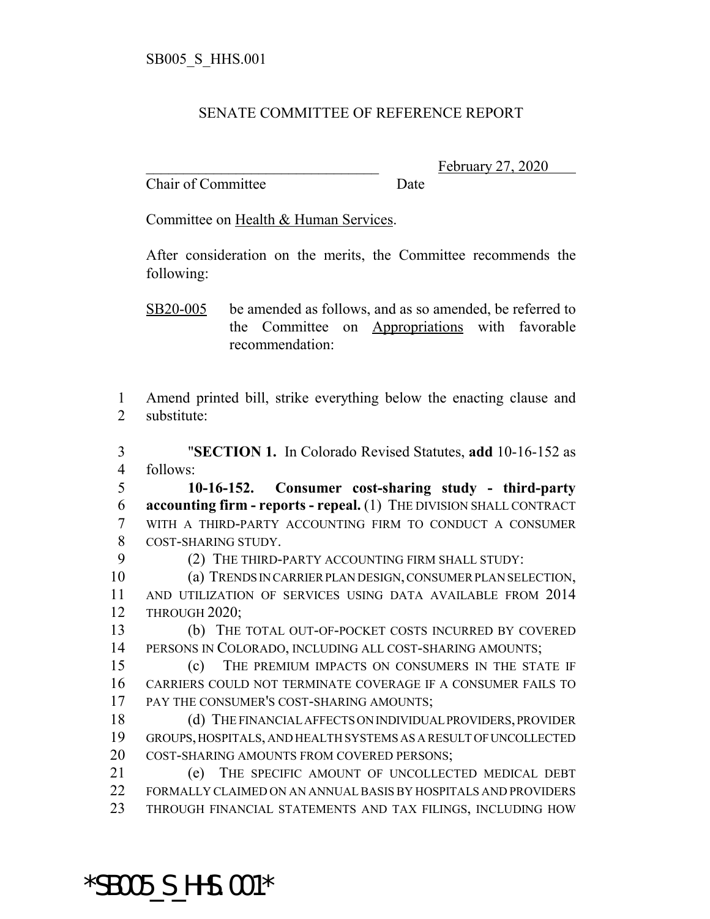## SENATE COMMITTEE OF REFERENCE REPORT

Chair of Committee Date

February 27, 2020

Committee on Health & Human Services.

After consideration on the merits, the Committee recommends the following:

SB20-005 be amended as follows, and as so amended, be referred to the Committee on Appropriations with favorable recommendation:

 Amend printed bill, strike everything below the enacting clause and substitute:

 "**SECTION 1.** In Colorado Revised Statutes, **add** 10-16-152 as follows:

 **10-16-152. Consumer cost-sharing study - third-party accounting firm - reports - repeal.** (1) THE DIVISION SHALL CONTRACT WITH A THIRD-PARTY ACCOUNTING FIRM TO CONDUCT A CONSUMER COST-SHARING STUDY.

9 (2) THE THIRD-PARTY ACCOUNTING FIRM SHALL STUDY:

 (a) TRENDS IN CARRIER PLAN DESIGN, CONSUMER PLAN SELECTION, AND UTILIZATION OF SERVICES USING DATA AVAILABLE FROM 2014 THROUGH 2020;

 (b) THE TOTAL OUT-OF-POCKET COSTS INCURRED BY COVERED PERSONS IN COLORADO, INCLUDING ALL COST-SHARING AMOUNTS;

 (c) THE PREMIUM IMPACTS ON CONSUMERS IN THE STATE IF CARRIERS COULD NOT TERMINATE COVERAGE IF A CONSUMER FAILS TO 17 PAY THE CONSUMER'S COST-SHARING AMOUNTS;

 (d) THE FINANCIAL AFFECTS ON INDIVIDUAL PROVIDERS, PROVIDER GROUPS, HOSPITALS, AND HEALTH SYSTEMS AS A RESULT OF UNCOLLECTED COST-SHARING AMOUNTS FROM COVERED PERSONS;

 (e) THE SPECIFIC AMOUNT OF UNCOLLECTED MEDICAL DEBT FORMALLY CLAIMED ON AN ANNUAL BASIS BY HOSPITALS AND PROVIDERS THROUGH FINANCIAL STATEMENTS AND TAX FILINGS, INCLUDING HOW

\*SB005\_S\_HHS.001\*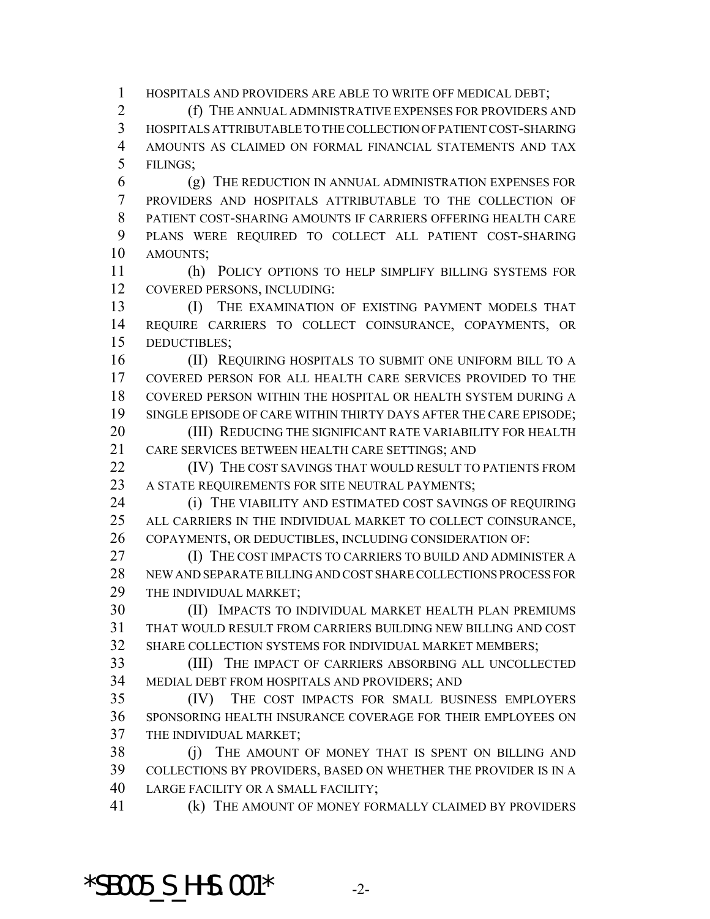HOSPITALS AND PROVIDERS ARE ABLE TO WRITE OFF MEDICAL DEBT;

 (f) THE ANNUAL ADMINISTRATIVE EXPENSES FOR PROVIDERS AND HOSPITALS ATTRIBUTABLE TO THE COLLECTION OF PATIENT COST-SHARING AMOUNTS AS CLAIMED ON FORMAL FINANCIAL STATEMENTS AND TAX FILINGS;

 (g) THE REDUCTION IN ANNUAL ADMINISTRATION EXPENSES FOR PROVIDERS AND HOSPITALS ATTRIBUTABLE TO THE COLLECTION OF PATIENT COST-SHARING AMOUNTS IF CARRIERS OFFERING HEALTH CARE PLANS WERE REQUIRED TO COLLECT ALL PATIENT COST-SHARING AMOUNTS;

 (h) POLICY OPTIONS TO HELP SIMPLIFY BILLING SYSTEMS FOR COVERED PERSONS, INCLUDING:

13 (I) THE EXAMINATION OF EXISTING PAYMENT MODELS THAT REQUIRE CARRIERS TO COLLECT COINSURANCE, COPAYMENTS, OR DEDUCTIBLES;

**(II) REQUIRING HOSPITALS TO SUBMIT ONE UNIFORM BILL TO A**  COVERED PERSON FOR ALL HEALTH CARE SERVICES PROVIDED TO THE COVERED PERSON WITHIN THE HOSPITAL OR HEALTH SYSTEM DURING A SINGLE EPISODE OF CARE WITHIN THIRTY DAYS AFTER THE CARE EPISODE;

20 (III) REDUCING THE SIGNIFICANT RATE VARIABILITY FOR HEALTH CARE SERVICES BETWEEN HEALTH CARE SETTINGS; AND

**(IV)** THE COST SAVINGS THAT WOULD RESULT TO PATIENTS FROM 23 A STATE REQUIREMENTS FOR SITE NEUTRAL PAYMENTS;

**(i) THE VIABILITY AND ESTIMATED COST SAVINGS OF REQUIRING**  ALL CARRIERS IN THE INDIVIDUAL MARKET TO COLLECT COINSURANCE, COPAYMENTS, OR DEDUCTIBLES, INCLUDING CONSIDERATION OF:

**(I) THE COST IMPACTS TO CARRIERS TO BUILD AND ADMINISTER A**  NEW AND SEPARATE BILLING AND COST SHARE COLLECTIONS PROCESS FOR THE INDIVIDUAL MARKET;

 (II) IMPACTS TO INDIVIDUAL MARKET HEALTH PLAN PREMIUMS THAT WOULD RESULT FROM CARRIERS BUILDING NEW BILLING AND COST SHARE COLLECTION SYSTEMS FOR INDIVIDUAL MARKET MEMBERS;

 (III) THE IMPACT OF CARRIERS ABSORBING ALL UNCOLLECTED MEDIAL DEBT FROM HOSPITALS AND PROVIDERS; AND

 (IV) THE COST IMPACTS FOR SMALL BUSINESS EMPLOYERS SPONSORING HEALTH INSURANCE COVERAGE FOR THEIR EMPLOYEES ON THE INDIVIDUAL MARKET;

 (j) THE AMOUNT OF MONEY THAT IS SPENT ON BILLING AND COLLECTIONS BY PROVIDERS, BASED ON WHETHER THE PROVIDER IS IN A LARGE FACILITY OR A SMALL FACILITY;

(k) THE AMOUNT OF MONEY FORMALLY CLAIMED BY PROVIDERS

 $*$ SB005 S HHS.001 $*$  -2-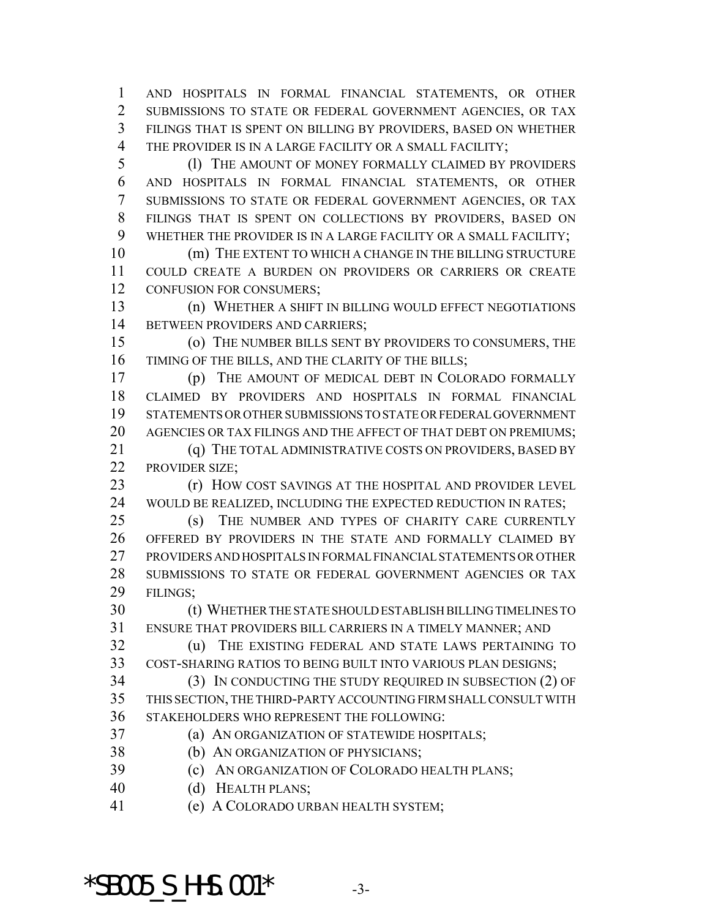AND HOSPITALS IN FORMAL FINANCIAL STATEMENTS, OR OTHER SUBMISSIONS TO STATE OR FEDERAL GOVERNMENT AGENCIES, OR TAX FILINGS THAT IS SPENT ON BILLING BY PROVIDERS, BASED ON WHETHER THE PROVIDER IS IN A LARGE FACILITY OR A SMALL FACILITY;

 (l) THE AMOUNT OF MONEY FORMALLY CLAIMED BY PROVIDERS AND HOSPITALS IN FORMAL FINANCIAL STATEMENTS, OR OTHER SUBMISSIONS TO STATE OR FEDERAL GOVERNMENT AGENCIES, OR TAX FILINGS THAT IS SPENT ON COLLECTIONS BY PROVIDERS, BASED ON WHETHER THE PROVIDER IS IN A LARGE FACILITY OR A SMALL FACILITY;

 (m) THE EXTENT TO WHICH A CHANGE IN THE BILLING STRUCTURE COULD CREATE A BURDEN ON PROVIDERS OR CARRIERS OR CREATE CONFUSION FOR CONSUMERS;

 (n) WHETHER A SHIFT IN BILLING WOULD EFFECT NEGOTIATIONS 14 BETWEEN PROVIDERS AND CARRIERS;

 (o) THE NUMBER BILLS SENT BY PROVIDERS TO CONSUMERS, THE TIMING OF THE BILLS, AND THE CLARITY OF THE BILLS;

 (p) THE AMOUNT OF MEDICAL DEBT IN COLORADO FORMALLY CLAIMED BY PROVIDERS AND HOSPITALS IN FORMAL FINANCIAL STATEMENTS OR OTHER SUBMISSIONS TO STATE OR FEDERAL GOVERNMENT AGENCIES OR TAX FILINGS AND THE AFFECT OF THAT DEBT ON PREMIUMS;

21 (q) THE TOTAL ADMINISTRATIVE COSTS ON PROVIDERS, BASED BY PROVIDER SIZE;

**(r) HOW COST SAVINGS AT THE HOSPITAL AND PROVIDER LEVEL** 24 WOULD BE REALIZED, INCLUDING THE EXPECTED REDUCTION IN RATES;

 (s) THE NUMBER AND TYPES OF CHARITY CARE CURRENTLY OFFERED BY PROVIDERS IN THE STATE AND FORMALLY CLAIMED BY PROVIDERS AND HOSPITALS IN FORMAL FINANCIAL STATEMENTS OR OTHER SUBMISSIONS TO STATE OR FEDERAL GOVERNMENT AGENCIES OR TAX FILINGS;

 (t) WHETHER THE STATE SHOULD ESTABLISH BILLING TIMELINES TO ENSURE THAT PROVIDERS BILL CARRIERS IN A TIMELY MANNER; AND

 (u) THE EXISTING FEDERAL AND STATE LAWS PERTAINING TO COST-SHARING RATIOS TO BEING BUILT INTO VARIOUS PLAN DESIGNS;

 (3) IN CONDUCTING THE STUDY REQUIRED IN SUBSECTION (2) OF THIS SECTION, THE THIRD-PARTY ACCOUNTING FIRM SHALL CONSULT WITH STAKEHOLDERS WHO REPRESENT THE FOLLOWING:

(a) AN ORGANIZATION OF STATEWIDE HOSPITALS;

- (b) AN ORGANIZATION OF PHYSICIANS;
- (c) AN ORGANIZATION OF COLORADO HEALTH PLANS;
- (d) HEALTH PLANS;
- (e) A COLORADO URBAN HEALTH SYSTEM;

 $*$ SB005 S HHS.001 $*$  -3-